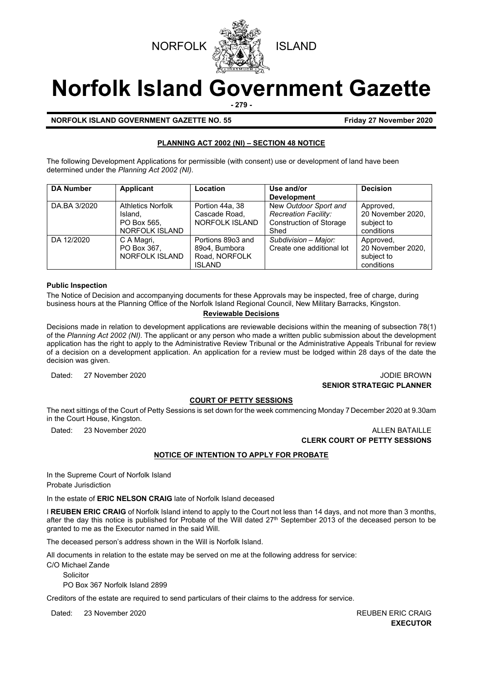



# **Norfolk Island Government Gazette**

**- 279 -**

**NORFOLK ISLAND GOVERNMENT GAZETTE NO. 55 Friday 27 November 2020** 

### **PLANNING ACT 2002 (NI) – SECTION 48 NOTICE**

The following Development Applications for permissible (with consent) use or development of land have been determined under the *Planning Act 2002 (NI).*

| <b>DA Number</b> | Applicant                | Location          | Use and/or                     | <b>Decision</b>   |
|------------------|--------------------------|-------------------|--------------------------------|-------------------|
|                  |                          |                   | <b>Development</b>             |                   |
| DA.BA 3/2020     | <b>Athletics Norfolk</b> | Portion 44a, 38   | New Outdoor Sport and          | Approved,         |
|                  | Island.                  | Cascade Road,     | <b>Recreation Facility:</b>    | 20 November 2020, |
|                  | PO Box 565.              | NORFOLK ISLAND    | <b>Construction of Storage</b> | subject to        |
|                  | <b>NORFOLK ISLAND</b>    |                   | Shed                           | conditions        |
| DA 12/2020       | C A Magri,               | Portions 89o3 and | Subdivision - Major:           | Approved,         |
|                  | PO Box 367,              | 89o4, Bumbora     | Create one additional lot      | 20 November 2020, |
|                  | NORFOLK ISLAND           | Road, NORFOLK     |                                | subject to        |
|                  |                          | <b>ISLAND</b>     |                                | conditions        |

#### **Public Inspection**

The Notice of Decision and accompanying documents for these Approvals may be inspected, free of charge, during business hours at the Planning Office of the Norfolk Island Regional Council, New Military Barracks, Kingston.

#### **Reviewable Decisions**

Decisions made in relation to development applications are reviewable decisions within the meaning of subsection 78(1) of the *Planning Act 2002 (NI).* The applicant or any person who made a written public submission about the development application has the right to apply to the Administrative Review Tribunal or the Administrative Appeals Tribunal for review of a decision on a development application. An application for a review must be lodged within 28 days of the date the decision was given.

Dated: 27 November 2020 **JODIE BROWN SENIOR STRATEGIC PLANNER** 

#### **COURT OF PETTY SESSIONS**

The next sittings of the Court of Petty Sessions is set down for the week commencing Monday 7 December 2020 at 9.30am in the Court House, Kingston.

Dated: 23 November 2020 **ALLEN BATAILLE** 

**CLERK COURT OF PETTY SESSIONS**

# **NOTICE OF INTENTION TO APPLY FOR PROBATE**

In the Supreme Court of Norfolk Island Probate Jurisdiction

In the estate of **ERIC NELSON CRAIG** late of Norfolk Island deceased

I **REUBEN ERIC CRAIG** of Norfolk Island intend to apply to the Court not less than 14 days, and not more than 3 months, after the day this notice is published for Probate of the Will dated  $27<sup>th</sup>$  September 2013 of the deceased person to be granted to me as the Executor named in the said Will.

The deceased person's address shown in the Will is Norfolk Island.

All documents in relation to the estate may be served on me at the following address for service:

C/O Michael Zande

**Solicitor** 

PO Box 367 Norfolk Island 2899

Creditors of the estate are required to send particulars of their claims to the address for service.

Dated: 23 November 2020 **REUBEN ERIC CRAIG** 

**EXECUTOR**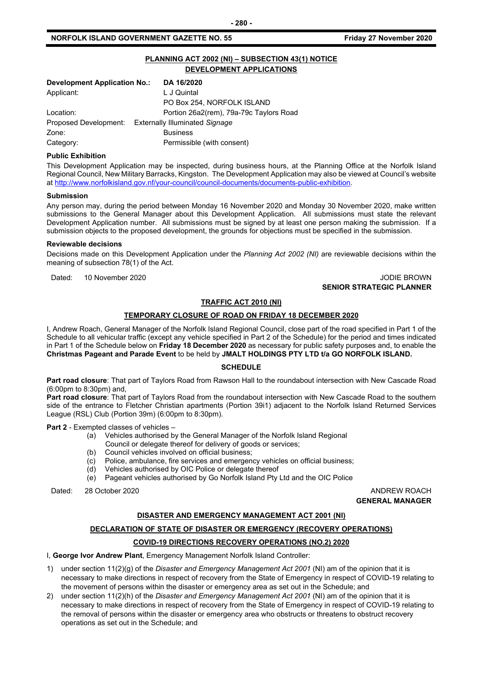#### **NORFOLK ISLAND GOVERNMENT GAZETTE NO. 55**

|  | Friday 27 November 2020 |  |
|--|-------------------------|--|
|--|-------------------------|--|

# **PLANNING ACT 2002 (NI) – SUBSECTION 43(1) NOTICE DEVELOPMENT APPLICATIONS**

| <b>Development Application No.:</b> | DA 16/2020                              |
|-------------------------------------|-----------------------------------------|
| Applicant:                          | L J Quintal                             |
|                                     | PO Box 254, NORFOLK ISLAND              |
| Location:                           | Portion 26a2(rem), 79a-79c Taylors Road |
| Proposed Development:               | <b>Externally Illuminated Signage</b>   |
| Zone:                               | <b>Business</b>                         |
| Category:                           | Permissible (with consent)              |

#### **Public Exhibition**

This Development Application may be inspected, during business hours, at the Planning Office at the Norfolk Island Regional Council, New Military Barracks, Kingston. The Development Application may also be viewed at Council's website a[t http://www.norfolkisland.gov.nf/your-council/council-documents/documents-public-exhibition.](http://www.norfolkisland.gov.nf/your-council/council-documents/documents-public-exhibition)

#### **Submission**

Any person may, during the period between Monday 16 November 2020 and Monday 30 November 2020, make written submissions to the General Manager about this Development Application. All submissions must state the relevant Development Application number. All submissions must be signed by at least one person making the submission. If a submission objects to the proposed development, the grounds for objections must be specified in the submission.

#### **Reviewable decisions**

Decisions made on this Development Application under the *Planning Act 2002 (NI)* are reviewable decisions within the meaning of subsection 78(1) of the Act.

Dated: 10 November 2020 **JODIE BROWN** 

# **SENIOR STRATEGIC PLANNER**

#### **TRAFFIC ACT 2010 (NI)**

#### **TEMPORARY CLOSURE OF ROAD ON FRIDAY 18 DECEMBER 2020**

I, Andrew Roach, General Manager of the Norfolk Island Regional Council, close part of the road specified in Part 1 of the Schedule to all vehicular traffic (except any vehicle specified in Part 2 of the Schedule) for the period and times indicated in Part 1 of the Schedule below on **Friday 18 December 2020** as necessary for public safety purposes and, to enable the **Christmas Pageant and Parade Event** to be held by **JMALT HOLDINGS PTY LTD t/a GO NORFOLK ISLAND.**

#### **SCHEDULE**

**Part road closure**: That part of Taylors Road from Rawson Hall to the roundabout intersection with New Cascade Road (6:00pm to 8:30pm) and,

**Part road closure**: That part of Taylors Road from the roundabout intersection with New Cascade Road to the southern side of the entrance to Fletcher Christian apartments (Portion 39i1) adjacent to the Norfolk Island Returned Services League (RSL) Club (Portion 39m) (6:00pm to 8:30pm).

**Part 2** - Exempted classes of vehicles –

- (a) Vehicles authorised by the General Manager of the Norfolk Island Regional
	- Council or delegate thereof for delivery of goods or services;
- (b) Council vehicles involved on official business;
- (c) Police, ambulance, fire services and emergency vehicles on official business;
- (d) Vehicles authorised by OIC Police or delegate thereof
- (e) Pageant vehicles authorised by Go Norfolk Island Pty Ltd and the OIC Police

Dated: 28 October 2020 ANDREW ROACH

**GENERAL MANAGER**

#### **DISASTER AND EMERGENCY MANAGEMENT ACT 2001 (NI)**

#### **DECLARATION OF STATE OF DISASTER OR EMERGENCY (RECOVERY OPERATIONS)**

#### **COVID-19 DIRECTIONS RECOVERY OPERATIONS (NO.2) 2020**

I, **George Ivor Andrew Plant**, Emergency Management Norfolk Island Controller:

- 1) under section 11(2)(g) of the *Disaster and Emergency Management Act 2001* (NI) am of the opinion that it is necessary to make directions in respect of recovery from the State of Emergency in respect of COVID-19 relating to the movement of persons within the disaster or emergency area as set out in the Schedule; and
- 2) under section 11(2)(h) of the *Disaster and Emergency Management Act 2001* (NI) am of the opinion that it is necessary to make directions in respect of recovery from the State of Emergency in respect of COVID-19 relating to the removal of persons within the disaster or emergency area who obstructs or threatens to obstruct recovery operations as set out in the Schedule; and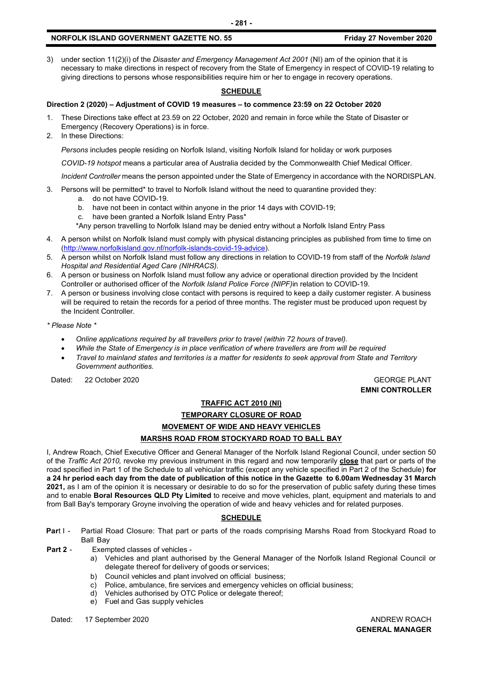#### **NORFOLK ISLAND GOVERNMENT GAZETTE NO. 55 Friday 27 November 2020**

3) under section 11(2)(i) of the *Disaster and Emergency Management Act 2001* (NI) am of the opinion that it is necessary to make directions in respect of recovery from the State of Emergency in respect of COVID-19 relating to giving directions to persons whose responsibilities require him or her to engage in recovery operations.

#### **SCHEDULE**

# **Direction 2 (2020) – Adjustment of COVID 19 measures – to commence 23:59 on 22 October 2020**

- 1. These Directions take effect at 23.59 on 22 October, 2020 and remain in force while the State of Disaster or Emergency (Recovery Operations) is in force.
- 2. In these Directions:

*Persons* includes people residing on Norfolk Island, visiting Norfolk Island for holiday or work purposes

*COVID-19 hotspot* means a particular area of Australia decided by the Commonwealth Chief Medical Officer.

*Incident Controller* means the person appointed under the State of Emergency in accordance with the NORDISPLAN.

- 3. Persons will be permitted\* to travel to Norfolk Island without the need to quarantine provided they:
	- a. do not have COVID-19.
	- b. have not been in contact within anyone in the prior 14 days with COVID-19;
	- c. have been granted a Norfolk Island Entry Pass\*

\*Any person travelling to Norfolk Island may be denied entry without a Norfolk Island Entry Pass

- 4. A person whilst on Norfolk Island must comply with physical distancing principles as published from time to time on [\(http://www.norfolkisland.gov.nf/norfolk-islands-covid-19-advice\)](http://www.norfolkisland.gov.nf/norfolk-islands-covid-19-advice).
- 5. A person whilst on Norfolk Island must follow any directions in relation to COVID-19 from staff of the *Norfolk Island Hospital and Residential Aged Care (NIHRACS).*
- 6. A person or business on Norfolk Island must follow any advice or operational direction provided by the Incident Controller or authorised officer of the *Norfolk Island Police Force (NIPF)*in relation to COVID-19.
- 7. A person or business involving close contact with persons is required to keep a daily customer register. A business will be required to retain the records for a period of three months. The register must be produced upon request by the Incident Controller.

*\* Please Note \** 

- *Online applications required by all travellers prior to travel (within 72 hours of travel).*
- *While the State of Emergency is in place verification of where travellers are from will be required*
- *Travel to mainland states and territories is a matter for residents to seek approval from State and Territory Government authorities.*

Dated: 22 October 2020 GEORGE PLANT

**EMNI CONTROLLER**

# **TRAFFIC ACT 2010 (NI)**

# **TEMPORARY CLOSURE OF ROAD MOVEMENT OF WIDE AND HEAVY VEHICLES MARSHS ROAD FROM STOCKYARD ROAD TO BALL BAY**

I, Andrew Roach, Chief Executive Officer and General Manager of the Norfolk Island Regional Council, under section 50 of the *Traffic Act 2010,* revoke my previous instrument in this regard and now temporarily **close** that part or parts of the road specified in Part 1 of the Schedule to all vehicular traffic (except any vehicle specified in Part 2 of the Schedule) **for a 24 hr period each day from the date of publication of this notice in the Gazette to 6.00am Wednesday 31 March 2021,** as I am of the opinion it is necessary or desirable to do so for the preservation of public safety during these times and to enable **Boral Resources QLD Pty Limited** to receive and move vehicles, plant, equipment and materials to and from Ball Bay's temporary Groyne involving the operation of wide and heavy vehicles and for related purposes.

#### **SCHEDULE**

- **Par**t I Partial Road Closure: That part or parts of the roads comprising Marshs Road from Stockyard Road to Ball Bay
- **Part 2** Exempted classes of vehicles
	- a) Vehicles and plant authorised by the General Manager of the Norfolk Island Regional Council or delegate thereof for delivery of goods or services;
	- b) Council vehicles and plant involved on official business;
	- c) Police, ambulance, fire services and emergency vehicles on official business;
	- d) Vehicles authorised by OTC Police or delegate thereof;
	- e) Fuel and Gas supply vehicles

Dated: 17 September 2020 **ANDREW ROACH CONSERVISE SERVICES** AND AND REW ROACH

**GENERAL MANAGER**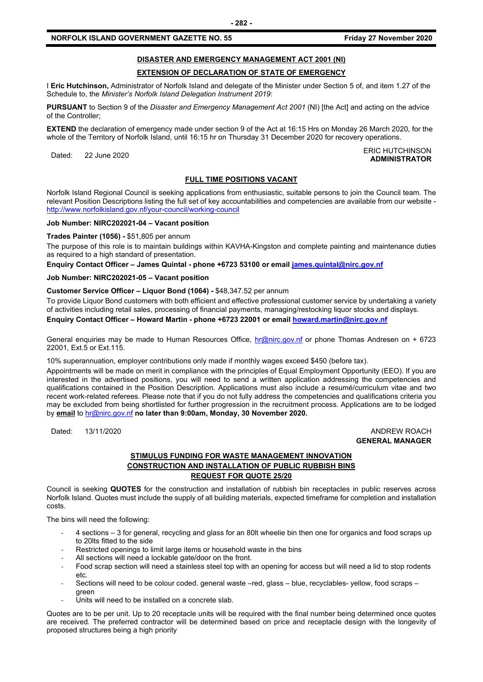#### **NORFOLK ISLAND GOVERNMENT GAZETTE NO. 55** *Friday 27 November 2020*

# **DISASTER AND EMERGENCY MANAGEMENT ACT 2001 (NI)**

#### **EXTENSION OF DECLARATION OF STATE OF EMERGENCY**

I **Eric Hutchinson,** Administrator of Norfolk Island and delegate of the Minister under Section 5 of, and item 1.27 of the Schedule to, the *Minister's Norfolk Island Delegation Instrument 2019*:

**PURSUANT** to Section 9 of the *Disaster and Emergency Management Act 2001* (NI) [the Act] and acting on the advice of the Controller;

**EXTEND** the declaration of emergency made under section 9 of the Act at 16:15 Hrs on Monday 26 March 2020, for the whole of the Territory of Norfolk Island, until 16:15 hr on Thursday 31 December 2020 for recovery operations.

Dated: 22 June 2020<br>Dated: 22 June 2020 **ADMINISTRATOR**

#### **FULL TIME POSITIONS VACANT**

Norfolk Island Regional Council is seeking applications from enthusiastic, suitable persons to join the Council team. The relevant Position Descriptions listing the full set of key accountabilities and competencies are available from our website <http://www.norfolkisland.gov.nf/your-council/working-council>

#### **Job Number: NIRC202021-04 – Vacant position**

#### **Trades Painter (1056) -** \$51,805 per annum

The purpose of this role is to maintain buildings within KAVHA-Kingston and complete painting and maintenance duties as required to a high standard of presentation.

**Enquiry Contact Officer – James Quintal - phone +6723 53100 or email [james.quintal@nirc.gov.nf](mailto:james.quintal@nirc.gov.nf)**

#### **Job Number: NIRC202021-05 – Vacant position**

#### **Customer Service Officer – Liquor Bond (1064) -** \$48,347.52 per annum

To provide Liquor Bond customers with both efficient and effective professional customer service by undertaking a variety of activities including retail sales, processing of financial payments, managing/restocking liquor stocks and displays. **Enquiry Contact Officer – Howard Martin - phone +6723 22001 or email [howard.martin@nirc.gov.nf](mailto:howard.martin@nirc.gov.nf)**

General enquiries may be made to Human Resources Office, [hr@nirc.gov.nf](mailto:hr@nirc.gov.nf) or phone Thomas Andresen on + 6723 22001, Ext.5 or Ext.115.

10% superannuation, employer contributions only made if monthly wages exceed \$450 (before tax).

Appointments will be made on merit in compliance with the principles of Equal Employment Opportunity (EEO). If you are interested in the advertised positions, you will need to send a written application addressing the competencies and qualifications contained in the Position Description. Applications must also include a resumé/curriculum vitae and two recent work-related referees. Please note that if you do not fully address the competencies and qualifications criteria you may be excluded from being shortlisted for further progression in the recruitment process. Applications are to be lodged by **email** to [hr@nirc.gov.nf](mailto:hr@nirc.gov.nf) **no later than 9:00am, Monday, 30 November 2020.** 

Dated: 13/11/2020 ANDREW ROACH

# **GENERAL MANAGER**

#### **STIMULUS FUNDING FOR WASTE MANAGEMENT INNOVATION CONSTRUCTION AND INSTALLATION OF PUBLIC RUBBISH BINS REQUEST FOR QUOTE 25/20**

Council is seeking **QUOTES** for the construction and installation of rubbish bin receptacles in public reserves across Norfolk Island. Quotes must include the supply of all building materials, expected timeframe for completion and installation costs.

The bins will need the following:

- 4 sections 3 for general, recycling and glass for an 80lt wheelie bin then one for organics and food scraps up to 20lts fitted to the side
- Restricted openings to limit large items or household waste in the bins
- All sections will need a lockable gate/door on the front.
- Food scrap section will need a stainless steel top with an opening for access but will need a lid to stop rodents etc.
- Sections will need to be colour coded. general waste –red, glass blue, recyclables- yellow, food scraps green
- Units will need to be installed on a concrete slab.

Quotes are to be per unit. Up to 20 receptacle units will be required with the final number being determined once quotes are received. The preferred contractor will be determined based on price and receptacle design with the longevity of proposed structures being a high priority